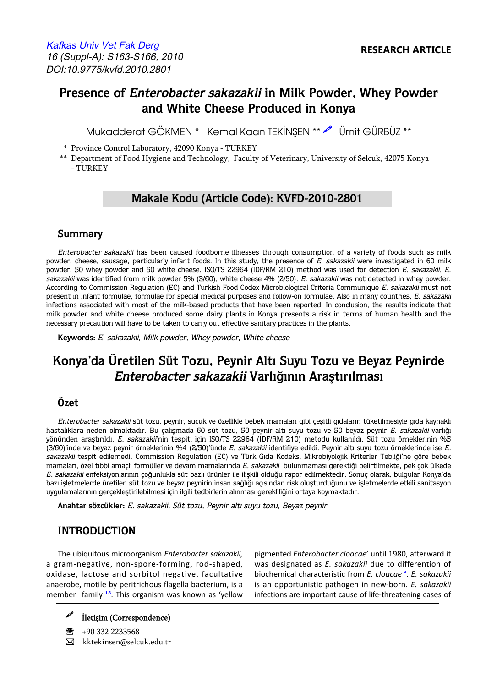# **Presence of Enterobacter sakazakii in Milk Powder, Whey Powder and White Cheese Produced in Konya**

Mukadderat GÖKMEN \* Kemal Kaan TEKİNSEN \*\* Ø Ümit GÜRBÜZ \*\*

\* Province Control Laboratory, 42090 Konya - TURKEY

\*\* Department of Food Hygiene and Technology, Faculty of Veterinary, University of Selcuk, 42075 Konya - TURKEY

## **Makale Kodu (Article Code): KVFD-2010-2801**

#### **Summary**

Enterobacter sakazakii has been caused foodborne illnesses through consumption of a variety of foods such as milk powder, cheese, sausage, particularly infant foods. In this study, the presence of E. sakazakii were investigated in 60 milk powder, 50 whey powder and 50 white cheese. ISO/TS 22964 (IDF/RM 210) method was used for detection E. sakazakii. E. sakazakii was identified from milk powder 5% (3/60), white cheese 4% (2/50). E. sakazakii was not detected in whey powder. According to Commission Regulation (EC) and Turkish Food Codex Microbiological Criteria Communique E. sakazakii must not present in infant formulae, formulae for special medical purposes and follow-on formulae. Also in many countries, E. sakazakii infections associated with most of the milk-based products that have been reported. In conclusion, the results indicate that milk powder and white cheese produced some dairy plants in Konya presents a risk in terms of human health and the necessary precaution will have to be taken to carry out effective sanitary practices in the plants.

**Keywords:** E. sakazakii, Milk powder, Whey powder, White cheese

# **Konya'da Üretilen Süt Tozu, Peynir Altı Suyu Tozu ve Beyaz Peynirde Enterobacter sakazakii Varlığının Araştırılması**

### **Özet**

Enterobacter sakazakii süt tozu, peynir, sucuk ve özellikle bebek mamaları gibi çeşitli gıdaların tüketilmesiyle gıda kaynaklı hastalıklara neden olmaktadır. Bu çalışmada 60 süt tozu, 50 peynir altı suyu tozu ve 50 beyaz peynir E. sakazakii varlığı yönünden araştırıldı. E. sakazakii'nin tespiti için ISO/TS 22964 (IDF/RM 210) metodu kullanıldı. Süt tozu örneklerinin %5 (3/60)'inde ve beyaz peynir örneklerinin %4 (2/50)'ünde E. sakazakii identifiye edildi. Peynir altı suyu tozu örneklerinde ise E. sakazakii tespit edilemedi. Commission Regulation (EC) ve Türk Gıda Kodeksi Mikrobiyolojik Kriterler Tebliği'ne göre bebek mamaları, özel tıbbi amaçlı formüller ve devam mamalarında E. sakazakii bulunmaması gerektiği belirtilmekte, pek çok ülkede E. sakazakii enfeksiyonlarının çoğunlukla süt bazlı ürünler ile ilişkili olduğu rapor edilmektedir. Sonuç olarak, bulgular Konya'da bazı işletmelerde üretilen süt tozu ve beyaz peynirin insan sağlığı açısından risk oluşturduğunu ve işletmelerde etkili sanitasyon uygulamalarının gerçekleştirilebilmesi için ilgili tedbirlerin alınması gerekliliğini ortaya koymaktadır.

**Anahtar sözcükler:** E. sakazakii, Süt tozu, Peynir altı suyu tozu, Beyaz peynir

## **INTRODUCTION**

a gram-negative, non-spore-forming, rod-shaped, oxidase, lactose and sorbitol negative, facultative anaerobe, motile by peritrichous flagella bacterium, is a member family <sup>[1-3](#page-3-0)</sup>. This organism was known as 'yellow

The ubiquitous microorganism *Enterobacter sakazakii,* pigmented *Enterobacter cloacae*' until 1980, afterward it biochemical characteristic from *E. cloacae*<sup>4</sup>, *E. sakazakii* is an opportunistic pathogen in new-born. *E. sakazakii* infections are important cause of life-threatening cases of



+90 332 2233568 � kktekinsen@selcuk.edu.tr

İletişim (Correspondence)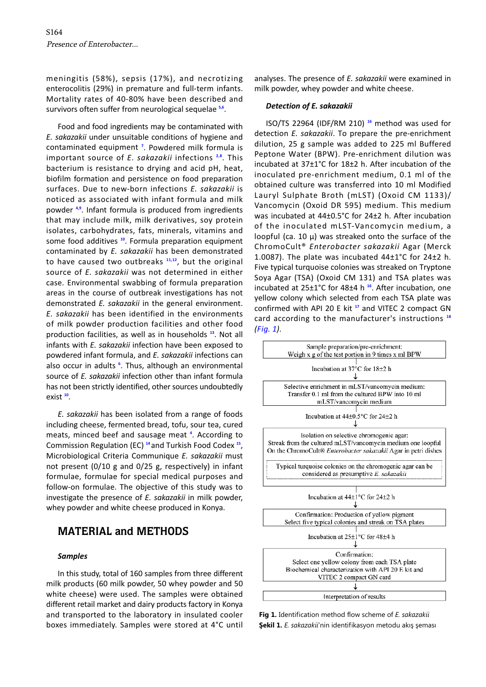meningitis (58%), sepsis (17%), and necrotizing enterocolitis (29%) in premature and full-term infants. Mortality rates of 40-80% have been described and survivors often suffer from neurological sequelae **[5,6](#page-3-0)**.

Food and food ingredients may be contaminated with *E. sakazakii* under unsuitable conditions of hygiene and contaminated equipment **<sup>7</sup>** . Powdered milk formula is important source of *E. sakazakii* infections **[2,8](#page-3-0)** . This bacterium is resistance to drying and acid pH, heat, biofilm formation and persistence on food preparation surfaces. Due to new-born infections *E. sakazakii* is noticed as associated with infant formula and milk powder **[4,9](#page-3-0)** . Infant formula is produced from ingredients that may include milk, milk derivatives, soy protein isolates, carbohydrates, fats, minerals, vitamins and some food additives **[10](#page-3-0)**. Formula preparation equipment contaminated by *E. sakazakii* has been demonstrated to have caused two outbreaks **[11,12](#page-3-0)**, but the original source of *E. sakazakii* was not determined in either case. Environmental swabbing of formula preparation areas in the course of outbreak investigations has not demonstrated *E. sakazakii* in the general environment. *E. sakazakii* has been identified in the environments of milk powder production facilities and other food production facilities, as well as in households **[13](#page-3-0)**. Not all infants with *E. sakazakii* infection have been exposed to powdered infant formula, and *E. sakazakii* infections can also occur in adults **[6](#page-3-0)** . Thus, although an environmental source of *E. sakazakii* infection other than infant formula has not been strictly identified, other sources undoubtedly exist **[10](#page-3-0)** .

*E. sakazakii* has been isolated from a range of foods including cheese, fermented bread, tofu, sour tea, cured meats, minced beef and sausage meat **[4](#page-3-0)** . According to Commission Regulation (EC) **[14](#page-3-0)** and Turkish Food Codex **[15](#page-3-0)** , Microbiological Criteria Communique *E. sakazakii* must not present (0/10 g and 0/25 g, respectively) in infant formulae, formulae for special medical purposes and follow-on formulae. The objective of this study was to investigate the presence of *E. sakazakii* in milk powder, whey powder and white cheese produced in Konya.

## **MATERIAL and METHODS**

#### *Samples*

In this study, total of 160 samples from three different milk products (60 milk powder, 50 whey powder and 50 white cheese) were used. The samples were obtained different retail market and dairy products factory in Konya and transported to the laboratory in insulated cooler boxes immediately. Samples were stored at 4°C until

analyses. The presence of *E. sakazakii* were examined in milk powder, whey powder and white cheese.

#### *Detection of E. sakazakii*

ISO/TS 22964 (IDF/RM 210) **[16](#page-3-0)** method was used for detection *E. sakazakii*. To prepare the pre-enrichment dilution, 25 g sample was added to 225 ml Buffered Peptone Water (BPW). Pre-enrichment dilution was incubated at 37±1°C for 18±2 h. After incubation of the inoculated pre-enrichment medium, 0.1 ml of the obtained culture was transferred into 10 ml Modified Lauryl Sulphate Broth (mLST) (Oxoid CM 1133)/ Vancomycin (Oxoid DR 595) medium. This medium was incubated at 44±0.5°C for 24±2 h. After incubation of the inoculated mLST-Vancomycin medium, a loopful (ca. 10  $\mu$ ) was streaked onto the surface of the ChromoCult® *Enterobacter sakazakii* Agar (Merck 1.0087). The plate was incubated 44±1°C for 24±2 h. Five typical turquoise colonies was streaked on Tryptone Soya Agar (TSA) (Oxoid CM 131) and TSA plates was incubated at 25±1°C for 48±4 h **[16](#page-3-0)**. After incubation, one yellow colony which selected from each TSA plate was confirmed with API 20 E kit **[17](#page-3-0)** and VITEC 2 compact GN card according to the manufacturer's instructions **[18](#page-3-0)**  *(Fig. 1)*.



**Fig 1.** Identification method flow scheme of *E. sakazakii*  **Şekil 1.** *E. sakazakii*'nin identifikasyon metodu akış şeması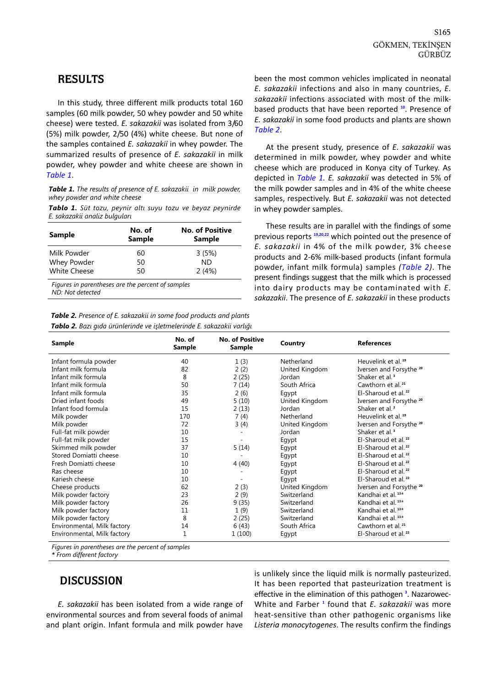#### <span id="page-2-0"></span>**RESULTS**

In this study, three different milk products total 160 samples (60 milk powder, 50 whey powder and 50 white cheese) were tested. *E. sakazakii* was isolated from 3/60 (5%) milk powder, 2/50 (4%) white cheese. But none of the samples contained *E. sakazakii* in whey powder. The summarized results of presence of *E. sakazakii* in milk powder, whey powder and white cheese are shown in *Table 1*.

*Table 1. The results of presence of E. sakazakii in milk powder, whey powder and white cheese* 

*Tablo 1. Süt tozu, peynir altı suyu tozu ve beyaz peynirde E. sakazakii analiz bulguları* 

| Sample                                            | No. of<br><b>Sample</b> | <b>No. of Positive</b><br>Sample |
|---------------------------------------------------|-------------------------|----------------------------------|
| Milk Powder                                       | 60                      | 3(5%)                            |
| Whey Powder                                       | 50                      | ND.                              |
| <b>White Cheese</b>                               | 50                      | 2(4%)                            |
| Figures in parentheses are the percent of samples |                         |                                  |

*Figures in parentheses are the percent of samples ND: Not detected* 

*Table 2. Presence of E. sakazakii in some food products and plants Tablo 2. Bazı gıda ürünlerinde ve işletmelerinde E. sakazakii varlığı* 

been the most common vehicles implicated in neonatal *E. sakazakii* infections and also in many countries, *E. sakazakii* infections associated with most of the milkbased products that have been reported **[10](#page-3-0)**. Presence of *E. sakazakii* in some food products and plants are shown *Table 2*.

At the present study, presence of *E. sakazakii* was determined in milk powder, whey powder and white cheese which are produced in Konya city of Turkey. As depicted in *Table 1. E. sakazakii* was detected in 5% of the milk powder samples and in 4% of the white cheese samples, respectively. But *E. sakazakii* was not detected in whey powder samples.

These results are in parallel with the findings of some previous reports **[19,20,22](#page-3-0)** which pointed out the presence of *E. sakazakii* in 4% of the milk powder, 3% cheese products and 2-6% milk-based products (infant formula powder, infant milk formula) samples *(Table 2)*. The present findings suggest that the milk which is processed into dairy products may be contaminated with *E. sakazakii*. The presence of *E. sakazakii* in these products

| <b>Sample</b>               | No. of<br><b>Sample</b> | <b>No. of Positive</b><br>Sample | Country        | <b>References</b>                  |
|-----------------------------|-------------------------|----------------------------------|----------------|------------------------------------|
| Infant formula powder       | 40                      | 1(3)                             | Netherland     | Heuvelink et al. <sup>19</sup>     |
| Infant milk formula         | 82                      | 2(2)                             | United Kingdom | Iversen and Forsythe 20            |
| Infant milk formula         | 8                       | 2(25)                            | Jordan         | Shaker et al. <sup>3</sup>         |
| Infant milk formula         | 50                      | 7(14)                            | South Africa   | Cawthorn et al. <sup>21</sup>      |
| Infant milk formula         | 35                      | 2(6)                             | Egypt          | El-Sharoud et al. <sup>22</sup>    |
| Dried infant foods          | 49                      | 5(10)                            | United Kingdom | Iversen and Forsythe 20            |
| Infant food formula         | 15                      | 2(13)                            | Jordan         | Shaker et al. <sup>3</sup>         |
| Milk powder                 | 170                     | 7(4)                             | Netherland     | Heuvelink et al. <sup>19</sup>     |
| Milk powder                 | 72                      | 3(4)                             | United Kingdom | Iversen and Forsythe 20            |
| Full-fat milk powder        | 10                      |                                  | Jordan         | Shaker et al. <sup>3</sup>         |
| Full-fat milk powder        | 15                      |                                  | Egypt          | El-Sharoud et al. <sup>22</sup>    |
| Skimmed milk powder         | 37                      | 5(14)                            | Egypt          | El-Sharoud et al. <sup>22</sup>    |
| Stored Domiatti cheese      | 10                      |                                  | Egypt          | El-Sharoud et al. $22$             |
| Fresh Domiatti cheese       | 10                      | 4(40)                            | Egypt          | El-Sharoud et al. <sup>22</sup>    |
| Ras cheese                  | 10                      |                                  | Egypt          | El-Sharoud et al. <sup>22</sup>    |
| Kariesh cheese              | 10                      |                                  | Egypt          | El-Sharoud et al. <sup>22</sup>    |
| Cheese products             | 62                      | 2(3)                             | United Kingdom | Iversen and Forsythe <sup>20</sup> |
| Milk powder factory         | 23                      | 2(9)                             | Switzerland    | Kandhai et al. <sup>13*</sup>      |
| Milk powder factory         | 26                      | 9(35)                            | Switzerland    | Kandhai et al. <sup>13*</sup>      |
| Milk powder factory         | 11                      | 1(9)                             | Switzerland    | Kandhai et al. <sup>13*</sup>      |
| Milk powder factory         | 8                       | 2(25)                            | Switzerland    | Kandhai et al. <sup>13*</sup>      |
| Environmental, Milk factory | 14                      | 6(43)                            | South Africa   | Cawthorn et al. <sup>21</sup>      |
| Environmental, Milk factory | 1                       | 1(100)                           | Egypt          | El-Sharoud et al. <sup>22</sup>    |

*Figures in parentheses are the percent of samples* 

*\* From different factory* 

### **DISCUSSION**

*E. sakazakii* has been isolated from a wide range of environmental sources and from several foods of animal and plant origin. Infant formula and milk powder have

is unlikely since the liquid milk is normally pasteurized. It has been reported that pasteurization treatment is effective in the elimination of this pathogen **[3](#page-3-0)** . Nazarowec-White and Farber **[1](#page-3-0)** found that *E. sakazakii* was more heat-sensitive than other pathogenic organisms like *Listeria monocytogenes*. The results confirm the findings